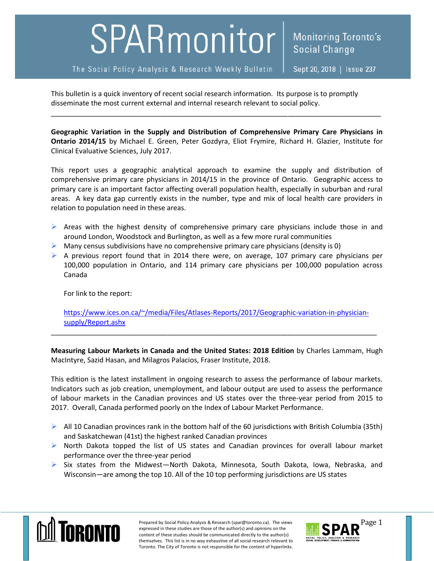## SPARmonitor

The Social Policy Analysis & Research Weekly Bulletin

This bulletin is a quick inventory of recent social research information. Its purpose is to promptly disseminate the most current external and internal research relevant to social policy.

**Geographic Variation in the Supply and Distribution of Comprehensive Primary Care Physicians in Ontario 2014/15** by Michael E. Green, Peter Gozdyra, Eliot Frymire, Richard H. Glazier, Institute for Clinical Evaluative Sciences, July 2017.

\_\_\_\_\_\_\_\_\_\_\_\_\_\_\_\_\_\_\_\_\_\_\_\_\_\_\_\_\_\_\_\_\_\_\_\_\_\_\_\_\_\_\_\_\_\_\_\_\_\_\_\_\_\_\_\_\_\_\_\_\_\_\_\_\_\_\_\_\_\_\_\_\_\_\_\_\_\_\_\_\_\_\_\_\_

This report uses a geographic analytical approach to examine the supply and distribution of comprehensive primary care physicians in 2014/15 in the province of Ontario. Geographic access to primary care is an important factor affecting overall population health, especially in suburban and rural areas. A key data gap currently exists in the number, type and mix of local health care providers in relation to population need in these areas.

- $\triangleright$  Areas with the highest density of comprehensive primary care physicians include those in and around London, Woodstock and Burlington, as well as a few more rural communities
- $\triangleright$  Many census subdivisions have no comprehensive primary care physicians (density is 0)
- $\triangleright$  A previous report found that in 2014 there were, on average, 107 primary care physicians per 100,000 population in Ontario, and 114 primary care physicians per 100,000 population across Canada

For link to the report:

[https://www.ices.on.ca/~/media/Files/Atlases-Reports/2017/Geographic-variation-in-physician](https://www.ices.on.ca/~/media/Files/Atlases-Reports/2017/Geographic-variation-in-physician-supply/Report.ashx)[supply/Report.ashx](https://www.ices.on.ca/~/media/Files/Atlases-Reports/2017/Geographic-variation-in-physician-supply/Report.ashx)

\_\_\_\_\_\_\_\_\_\_\_\_\_\_\_\_\_\_\_\_\_\_\_\_\_\_\_\_\_\_\_\_\_\_\_\_\_\_\_\_\_\_\_\_\_\_\_\_\_\_\_\_\_\_\_\_\_\_\_\_\_\_\_\_\_\_\_\_\_\_\_\_\_\_\_\_\_\_\_\_\_\_\_\_

**Measuring Labour Markets in Canada and the United States: 2018 Edition** by Charles Lammam, Hugh MacIntyre, Sazid Hasan, and Milagros Palacios, Fraser Institute, 2018.

This edition is the latest installment in ongoing research to assess the performance of labour markets. Indicators such as job creation, unemployment, and labour output are used to assess the performance of labour markets in the Canadian provinces and US states over the three-year period from 2015 to 2017. Overall, Canada performed poorly on the Index of Labour Market Performance.

- $\triangleright$  All 10 Canadian provinces rank in the bottom half of the 60 jurisdictions with British Columbia (35th) and Saskatchewan (41st) the highest ranked Canadian provinces
- $\triangleright$  North Dakota topped the list of US states and Canadian provinces for overall labour market performance over the three-year period
- $\triangleright$  Six states from the Midwest-North Dakota, Minnesota, South Dakota, Iowa, Nebraska, and Wisconsin—are among the top 10. All of the 10 top performing jurisdictions are US states



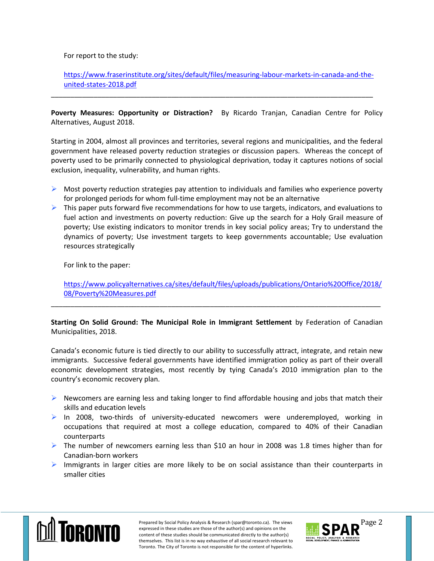## For report to the study:

[https://www.fraserinstitute.org/sites/default/files/measuring-labour-markets-in-canada-and-the](https://www.fraserinstitute.org/sites/default/files/measuring-labour-markets-in-canada-and-the-united-states-2018.pdf)[united-states-2018.pdf](https://www.fraserinstitute.org/sites/default/files/measuring-labour-markets-in-canada-and-the-united-states-2018.pdf)

**Poverty Measures: Opportunity or Distraction?** By Ricardo Tranjan, Canadian Centre for Policy Alternatives, August 2018.

\_\_\_\_\_\_\_\_\_\_\_\_\_\_\_\_\_\_\_\_\_\_\_\_\_\_\_\_\_\_\_\_\_\_\_\_\_\_\_\_\_\_\_\_\_\_\_\_\_\_\_\_\_\_\_\_\_\_\_\_\_\_\_\_\_\_\_\_\_\_\_\_\_\_\_\_\_\_\_\_\_\_\_

Starting in 2004, almost all provinces and territories, several regions and municipalities, and the federal government have released poverty reduction strategies or discussion papers. Whereas the concept of poverty used to be primarily connected to physiological deprivation, today it captures notions of social exclusion, inequality, vulnerability, and human rights.

- $\triangleright$  Most poverty reduction strategies pay attention to individuals and families who experience poverty for prolonged periods for whom full-time employment may not be an alternative
- $\triangleright$  This paper puts forward five recommendations for how to use targets, indicators, and evaluations to fuel action and investments on poverty reduction: Give up the search for a Holy Grail measure of poverty; Use existing indicators to monitor trends in key social policy areas; Try to understand the dynamics of poverty; Use investment targets to keep governments accountable; Use evaluation resources strategically

For link to the paper:

[https://www.policyalternatives.ca/sites/default/files/uploads/publications/Ontario%20Office/2018/](https://www.policyalternatives.ca/sites/default/files/uploads/publications/Ontario%20Office/2018/08/Poverty%20Measures.pdf) [08/Poverty%20Measures.pdf](https://www.policyalternatives.ca/sites/default/files/uploads/publications/Ontario%20Office/2018/08/Poverty%20Measures.pdf)

**Starting On Solid Ground: The Municipal Role in Immigrant Settlement** by Federation of Canadian Municipalities, 2018.

\_\_\_\_\_\_\_\_\_\_\_\_\_\_\_\_\_\_\_\_\_\_\_\_\_\_\_\_\_\_\_\_\_\_\_\_\_\_\_\_\_\_\_\_\_\_\_\_\_\_\_\_\_\_\_\_\_\_\_\_\_\_\_\_\_\_\_\_\_\_\_\_\_\_\_\_\_\_\_\_\_\_\_\_\_

Canada's economic future is tied directly to our ability to successfully attract, integrate, and retain new immigrants. Successive federal governments have identified immigration policy as part of their overall economic development strategies, most recently by tying Canada's 2010 immigration plan to the country's economic recovery plan.

- $\triangleright$  Newcomers are earning less and taking longer to find affordable housing and jobs that match their skills and education levels
- $\triangleright$  In 2008, two-thirds of university-educated newcomers were underemployed, working in occupations that required at most a college education, compared to 40% of their Canadian counterparts
- $\triangleright$  The number of newcomers earning less than \$10 an hour in 2008 was 1.8 times higher than for Canadian-born workers
- $\triangleright$  Immigrants in larger cities are more likely to be on social assistance than their counterparts in smaller cities